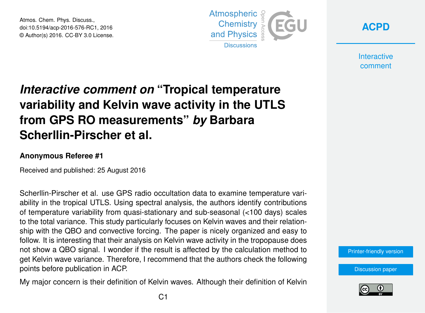Atmos. Chem. Phys. Discuss., doi:10.5194/acp-2016-576-RC1, 2016 © Author(s) 2016. CC-BY 3.0 License.



**[ACPD](http://www.atmos-chem-phys-discuss.net/)**

**Interactive** comment

## *Interactive comment on* **"Tropical temperature variability and Kelvin wave activity in the UTLS from GPS RO measurements"** *by* **Barbara Scherllin-Pirscher et al.**

## **Anonymous Referee #1**

Received and published: 25 August 2016

Scherllin-Pirscher et al. use GPS radio occultation data to examine temperature variability in the tropical UTLS. Using spectral analysis, the authors identify contributions of temperature variability from quasi-stationary and sub-seasonal (<100 days) scales to the total variance. This study particularly focuses on Kelvin waves and their relationship with the QBO and convective forcing. The paper is nicely organized and easy to follow. It is interesting that their analysis on Kelvin wave activity in the tropopause does not show a QBO signal. I wonder if the result is affected by the calculation method to get Kelvin wave variance. Therefore, I recommend that the authors check the following points before publication in ACP.

My major concern is their definition of Kelvin waves. Although their definition of Kelvin

[Printer-friendly version](http://www.atmos-chem-phys-discuss.net/acp-2016-576/acp-2016-576-RC1-print.pdf)

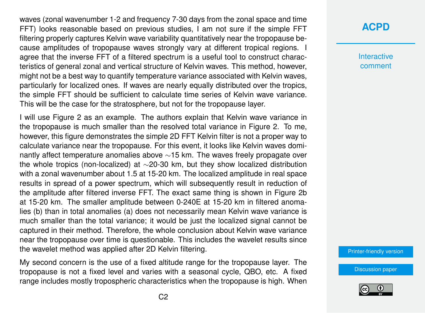waves (zonal wavenumber 1-2 and frequency 7-30 days from the zonal space and time FFT) looks reasonable based on previous studies, I am not sure if the simple FFT filtering properly captures Kelvin wave variability quantitatively near the tropopause because amplitudes of tropopause waves strongly vary at different tropical regions. I agree that the inverse FFT of a filtered spectrum is a useful tool to construct characteristics of general zonal and vertical structure of Kelvin waves. This method, however, might not be a best way to quantify temperature variance associated with Kelvin waves, particularly for localized ones. If waves are nearly equally distributed over the tropics, the simple FFT should be sufficient to calculate time series of Kelvin wave variance. This will be the case for the stratosphere, but not for the tropopause layer.

I will use Figure 2 as an example. The authors explain that Kelvin wave variance in the tropopause is much smaller than the resolved total variance in Figure 2. To me, however, this figure demonstrates the simple 2D FFT Kelvin filter is not a proper way to calculate variance near the tropopause. For this event, it looks like Kelvin waves dominantly affect temperature anomalies above ~15 km. The waves freely propagate over the whole tropics (non-localized) at ∼20-30 km, but they show localized distribution with a zonal wavenumber about 1.5 at 15-20 km. The localized amplitude in real space results in spread of a power spectrum, which will subsequently result in reduction of the amplitude after filtered inverse FFT. The exact same thing is shown in Figure 2b at 15-20 km. The smaller amplitude between 0-240E at 15-20 km in filtered anomalies (b) than in total anomalies (a) does not necessarily mean Kelvin wave variance is much smaller than the total variance; it would be just the localized signal cannot be captured in their method. Therefore, the whole conclusion about Kelvin wave variance near the tropopause over time is questionable. This includes the wavelet results since the wavelet method was applied after 2D Kelvin filtering.

My second concern is the use of a fixed altitude range for the tropopause layer. The tropopause is not a fixed level and varies with a seasonal cycle, QBO, etc. A fixed range includes mostly tropospheric characteristics when the tropopause is high. When

## **[ACPD](http://www.atmos-chem-phys-discuss.net/)**

**Interactive** comment

[Printer-friendly version](http://www.atmos-chem-phys-discuss.net/acp-2016-576/acp-2016-576-RC1-print.pdf)

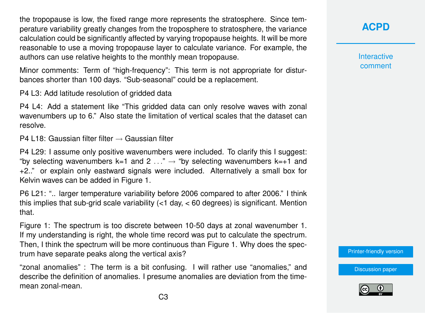the tropopause is low, the fixed range more represents the stratosphere. Since temperature variability greatly changes from the troposphere to stratosphere, the variance calculation could be significantly affected by varying tropopause heights. It will be more reasonable to use a moving tropopause layer to calculate variance. For example, the authors can use relative heights to the monthly mean tropopause.

Minor comments: Term of "high-frequency": This term is not appropriate for disturbances shorter than 100 days. "Sub-seasonal" could be a replacement.

P4 L3: Add latitude resolution of gridded data

P4 L4: Add a statement like "This gridded data can only resolve waves with zonal wavenumbers up to 6." Also state the limitation of vertical scales that the dataset can resolve.

P4 L18: Gaussian filter filter  $\rightarrow$  Gaussian filter

P4 L29: I assume only positive wavenumbers were included. To clarify this I suggest: "by selecting wavenumbers k=1 and 2  $\ldots$ "  $\rightarrow$  "by selecting wavenumbers k=+1 and +2.." or explain only eastward signals were included. Alternatively a small box for Kelvin waves can be added in Figure 1.

P6 L21: ".. larger temperature variability before 2006 compared to after 2006." I think this implies that sub-grid scale variability (<1 day, < 60 degrees) is significant. Mention that.

Figure 1: The spectrum is too discrete between 10-50 days at zonal wavenumber 1. If my understanding is right, the whole time record was put to calculate the spectrum. Then, I think the spectrum will be more continuous than Figure 1. Why does the spectrum have separate peaks along the vertical axis?

"zonal anomalies" : The term is a bit confusing. I will rather use "anomalies," and describe the definition of anomalies. I presume anomalies are deviation from the timemean zonal-mean.

**[ACPD](http://www.atmos-chem-phys-discuss.net/)**

**Interactive** comment

[Printer-friendly version](http://www.atmos-chem-phys-discuss.net/acp-2016-576/acp-2016-576-RC1-print.pdf)